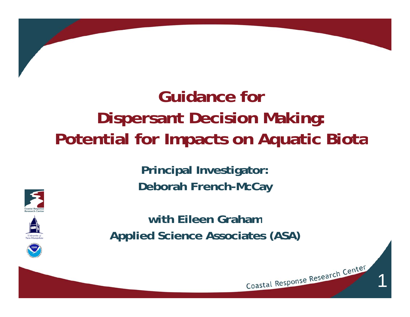## **Guidance for Dispersant Decision Making: Potential for Impacts on Aquatic Biota**

**Principal Investigator: Deborah French-McCay**







**with Eileen GrahamApplied Science Associates (ASA)**

1

Coastal Response Research Center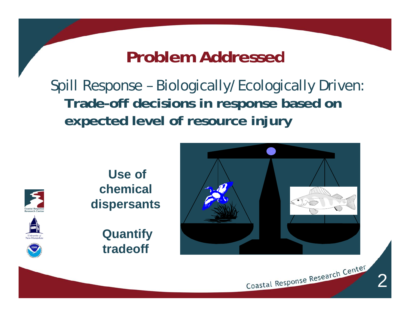#### **Problem Addressed**

Spill Response – Biologically/Ecologically Driven: **T d ra de-off d i i i b d ff decisions n response based on expected level of resource injury**

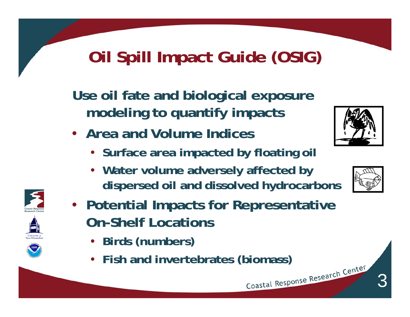### **Oil Spill Impact Guide (OSIG)**

**Use oil fate and biological exposure modeling to quantify impacts** 

- **Area and Volume Indices**
	- **Surface area impacted by floating oil**
	- **Water volume adversely affected by dispersed oil and dissolved hydrocarbons**



- **Birds (numbers)**
- **Fish and invertebrates (biomass)**





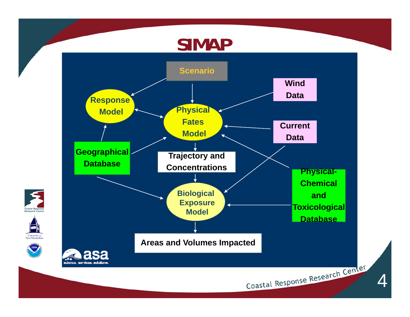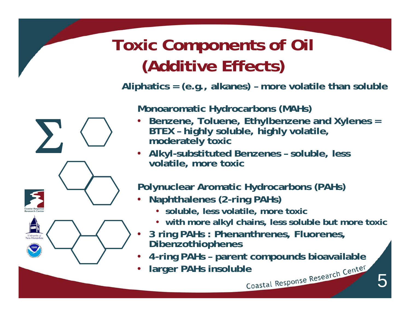### **Toxic Components of Oil (Additive Effects)**

**Aliphatics = (e.g., alkanes) – more volatile than soluble**

**Monoaromatic Hydrocarbons (MAHs)**

- • **Benzene, Toluene, Ethylbenzene and Xylenes = BTEX – highly soluble, highly volatile, here there i n derately** toxic
	- **Alkyl-substituted Benzenes – soluble, less volatile, more toxic**

**Polynuclear Aromatic Hydrocarbons (PAHs)**

- • **Naphthalenes (2-ring PAHs)**
	- **soluble, less volatile, more toxic**
	- **with more alkyl chains, less soluble but more toxic**
- • **3 ring PAHs : Phenanthrenes, Fluorenes, Dibenzothiophenes**
- •**4 -ring PAHs –parent compounds bioavailable**
- •**larger PAHs insoluble**

 $\sum$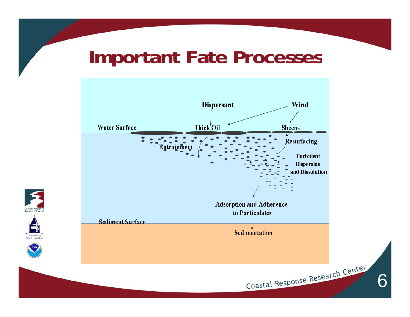#### **Important Fate Processes**







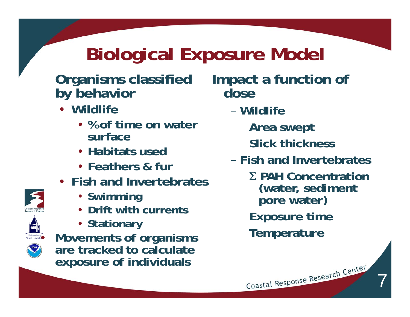## **Biological Exposure Model**

#### **Organisms classified b y behavior**

- **Wildlife**
	- **% of time on water surface**
	- **Habitats used**
	- **Feathers & fur**
- **Fish and Invertebrates** 
	- **Swimming**
	- **Drift with currents**
	- **Stationary**

•

 **Movements of organisms are tracked to calculate f i di id l exposure of ndi viduals**

**Impact a function of dose**

- **Wildlife**
	- **Area swept Sl k h kSlick thickness**
- **Fish and Invertebrates**
	- **PAH Concentration (water, sediment pore water) Exposure time**

Coastal Response Research Center

7

**Temperature**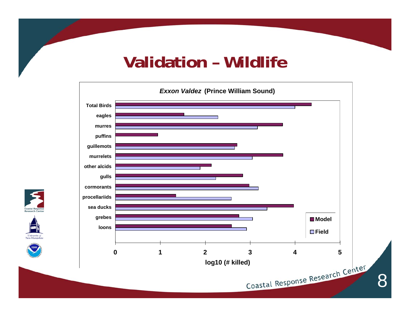#### **Validation – Wildlife**



Coastal Research

University of<br>New Hampshi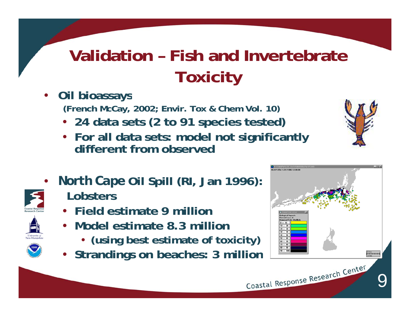## **Validation – Fish and Invertebrate Toxicity**

- • **Oil bioassays (French McCay, 2002; Envir. Tox & Chem Vol. 10)**
	- **24 data sets (2 to 91 species tested)**
	- **For all data sets: model not significantly different from observed**
- • *N th C North Cape* **Oil S ill (RI J 1996) Spill (RI, Jan 1996): Lobsters**
	- **Field estimate 9 million**
	- **Model estimate 8.3 million** 
		- **(using best estimate of toxicity)**
	- **Strandings on beaches: 3 million**

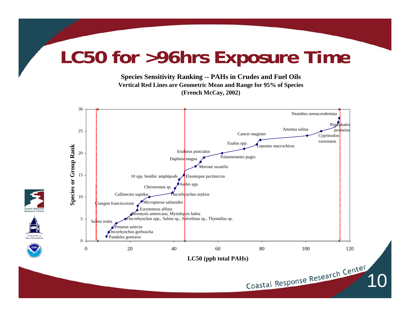### **LC50 for >96hrs Exposure Time**

**Species Sensitivity Ranking -- PAHs in Crudes and Fuel Oils Vertical Red Lines are Geometric Mean and Range for 95% of Species (French McCay, 2002)**

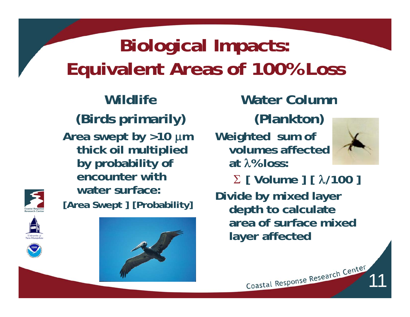# **Biological Impacts: Equivalent Areas of 100% Loss**

**Wildlife(Birds primarily) Area swept by >10 m thick oil multiplied by probability of encounter with [Area Swept ] [Probability]**









#### **Water Column(Plankton)**

**Weighted sum of volumes affected at % loss:**



11

 **[ Volume ] [ /100 ] water surface:Divide by mixed layer depth to calculate area f f i d of surfacemixed layer affected**

Coastal Response Research Center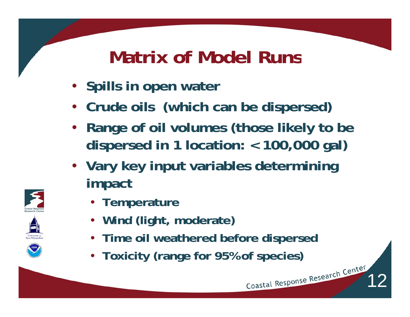## **Matrix of Model Runs**

- **Spills in open water**
- **Crude oils (which can be dispersed)**
- **Range of oil volumes (those likely to be dispersed in 1 location: < 100,000 gal)**
- **Vary key input variables determining i t mpac**
	- **Temperature**
	- **Wind (light moderate) (light,**
	- **Time oil weathered before dispersed**

12

• **Toxicity (range for 95% of species)**





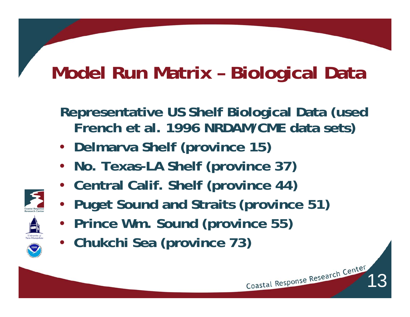# **Model Run Matrix – Biological Data**

**Representative US Shelf Biological Data (used French et al. 1996 NRDAM/CME data sets)**

- **Delmarva Shelf (province 15)**
- **No. Texas-LA Shelf (province 37)**
- **Central Calif. Shelf (province 44)**
- **Puget Sound and Straits (province 51)**
- **Prince Wm. Sound (province 55)**
- **Chukchi Sea (province 73)**

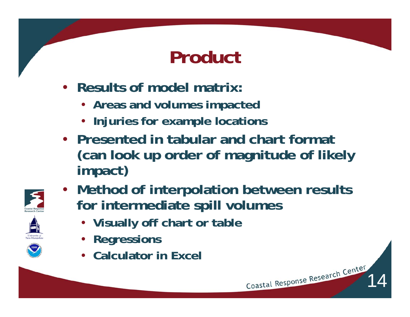## **Product**

- **Results of model matrix:** 
	- **Areas and volumes impacted**
	- **Injuries for example locations**
- **Presented in tabular and chart format (can look up order of magnitude of likely impact)**



• **Method of interpolation between results for intermediate spill volumes** 

- **Vi ll ff h bl Visually off chart or table**
- **Regressions**
- **Calculator in Excel**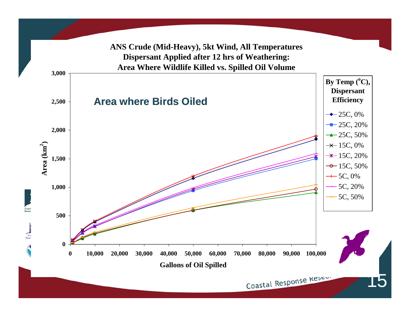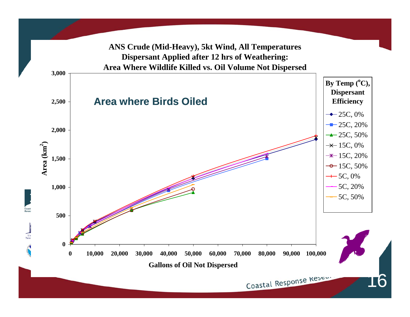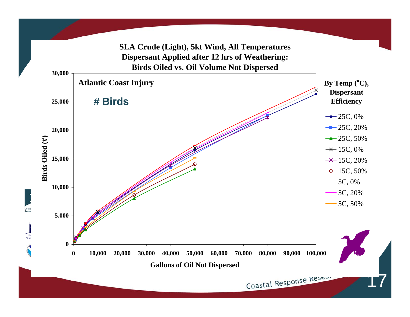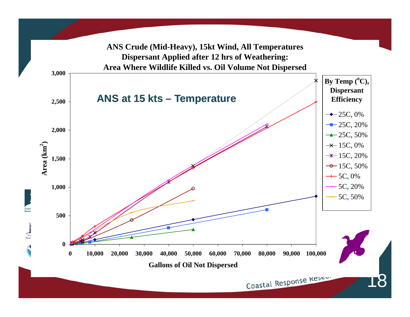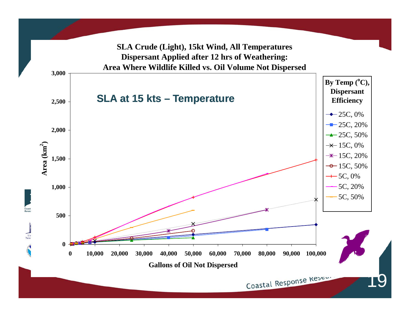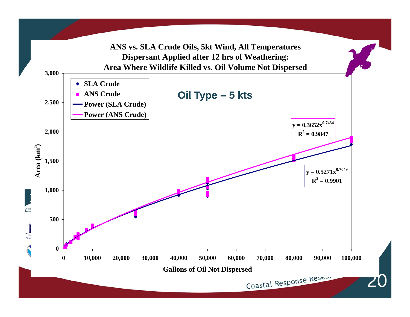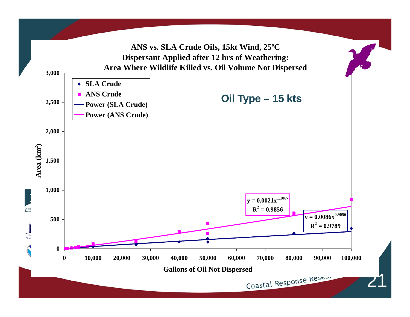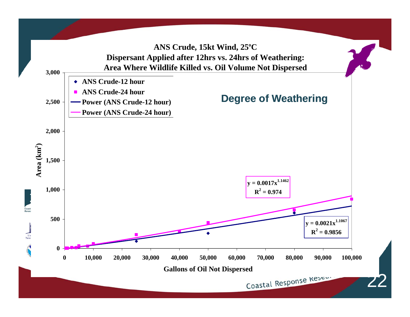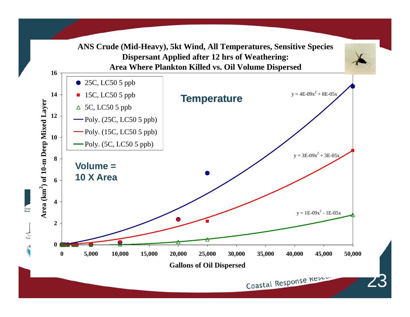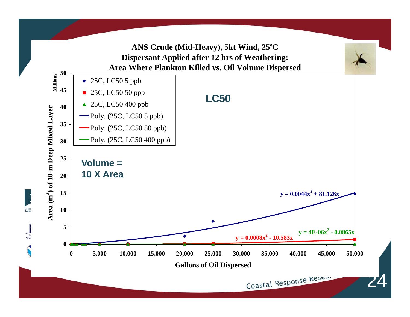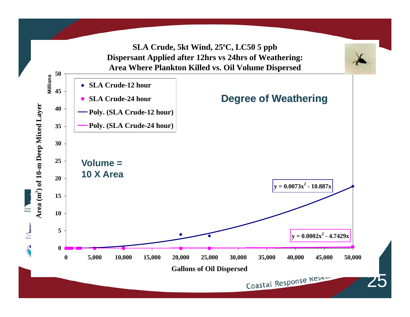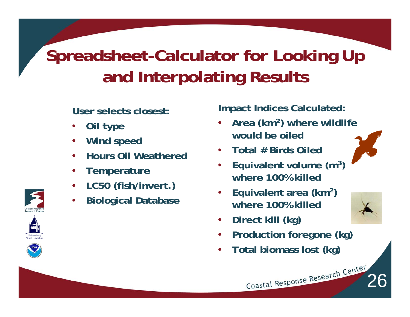## **Spreadsheet-Calculator for Looking Up and Interpolating Results**

**User selects closest:** 

- •**Oil type**
- **•** Wind speed •
- •**Hours Oil Weathered**
- •**Temperature**
- •**LC50 (fish/invert.)**
- •**Biological Database**

**Impact Indices Calculated:**

- • **Area (km2) where wildlife would be oiled**
- •**Total # Birds Oiled**
- • **Equivalent volume (m3) where 100% killed**
- • **Equivalent area (km2) where 100% killed**



- •**Direct kill (kg)**
- •**Production foregone (kg)**

Coastal Response Research Center

•**Total biomass lost (kg)**





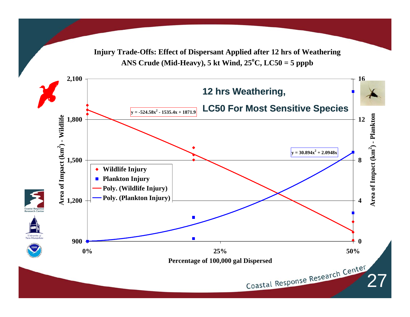**Injury Trade-Offs: Effect of Dispersant Applied after 12 hrs of Weathering** ANS Crude (Mid-Heavy), 5 kt Wind,  $25^{\circ}$ C, LC50 = 5 pppb

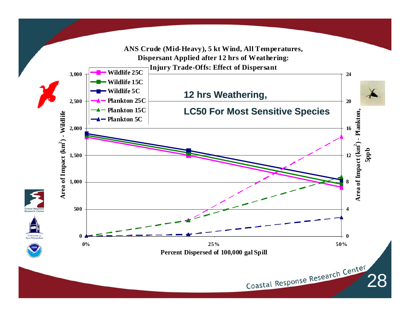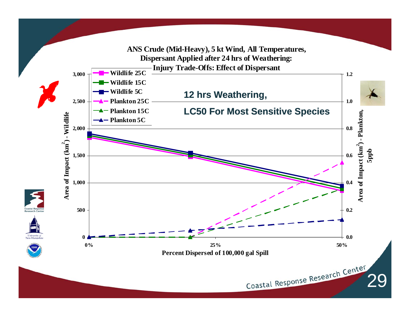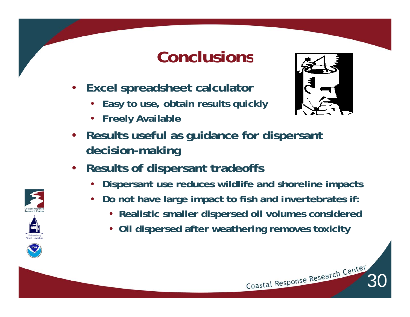#### **Conclusions**

- $\bullet$  **Excel spreadsheet calculator**
	- •**Easy to use, obtain results quickly**
	- •**Freely Available**



- • **Results useful as guidance for dispersant decision-making**
- • **Results of dispersant tradeoffs**
	- •**Dispersant use reduces wildlife and shoreline impacts**
	- • **Do not have large impact to fish and invertebrates if:**
		- **Realistic smaller dispersed oil volumes considered**
		- **Oil dispersed after weathering removes toxicity**